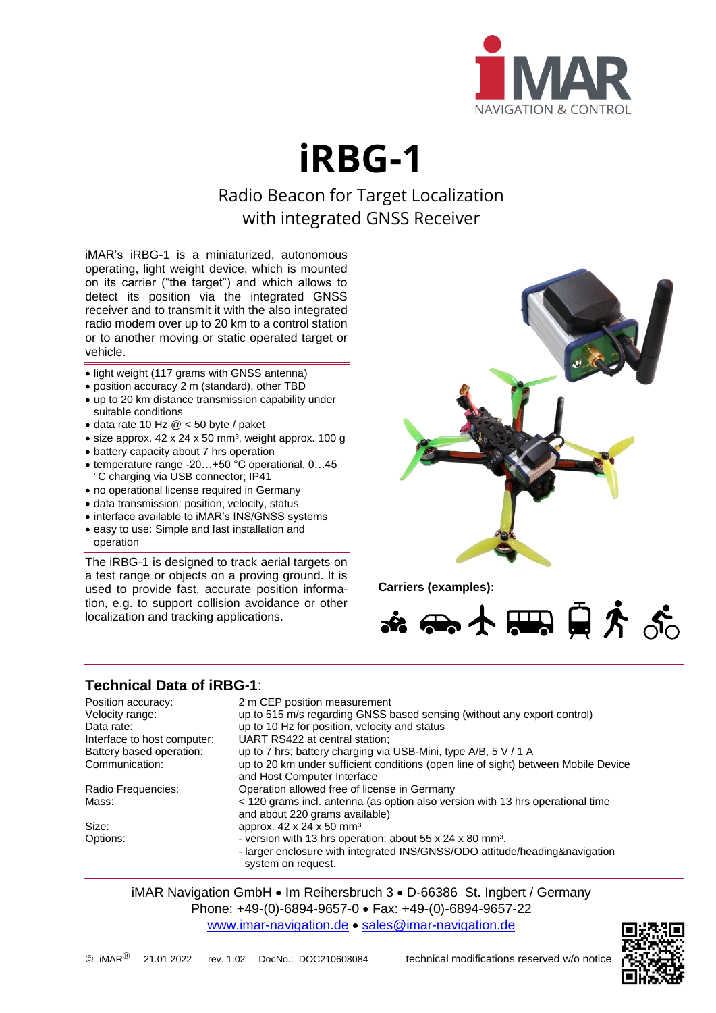

**iRBG-1**

Radio Beacon for Target Localization with integrated GNSS Receiver

iMAR's iRBG-1 is a miniaturized, autonomous operating, light weight device, which is mounted on its carrier ("the target") and which allows to detect its position via the integrated GNSS receiver and to transmit it with the also integrated radio modem over up to 20 km to a control station or to another moving or static operated target or vehicle.

- light weight (117 grams with GNSS antenna)
- position accuracy 2 m (standard), other TBD
- up to 20 km distance transmission capability under suitable conditions
- $\bullet$  data rate 10 Hz  $@$  < 50 byte / paket
- $\bullet$  size approx. 42 x 24 x 50 mm<sup>3</sup>, weight approx. 100 g
- battery capacity about 7 hrs operation
- temperature range -20…+50 °C operational, 0…45 °C charging via USB connector; IP41
- no operational license required in Germany
- data transmission: position, velocity, status
- interface available to iMAR's INS/GNSS systems
- easy to use: Simple and fast installation and operation

The iRBG-1 is designed to track aerial targets on a test range or objects on a proving ground. It is used to provide fast, accurate position information, e.g. to support collision avoidance or other localization and tracking applications.



**Carriers (examples):**

☆ ← ★ ● ☆ ぷ

## **Technical Data of iRBG-1**:

| Position accuracy:<br>Velocity range:<br>Data rate:<br>Interface to host computer:<br>Battery based operation:<br>Communication: | 2 m CEP position measurement<br>up to 515 m/s regarding GNSS based sensing (without any export control)<br>up to 10 Hz for position, velocity and status<br>UART RS422 at central station;<br>up to 7 hrs; battery charging via USB-Mini, type A/B, 5 V / 1 A<br>up to 20 km under sufficient conditions (open line of sight) between Mobile Device<br>and Host Computer Interface |
|----------------------------------------------------------------------------------------------------------------------------------|------------------------------------------------------------------------------------------------------------------------------------------------------------------------------------------------------------------------------------------------------------------------------------------------------------------------------------------------------------------------------------|
| Radio Frequencies:<br>Mass:                                                                                                      | Operation allowed free of license in Germany<br>< 120 grams incl. antenna (as option also version with 13 hrs operational time<br>and about 220 grams available)                                                                                                                                                                                                                   |
| Size:<br>Options:                                                                                                                | approx. 42 x 24 x 50 mm <sup>3</sup><br>- version with 13 hrs operation: about 55 x 24 x 80 mm <sup>3</sup> .<br>- larger enclosure with integrated INS/GNSS/ODO attitude/heading&navigation<br>system on request.                                                                                                                                                                 |

iMAR Navigation GmbH • Im Reihersbruch 3 • D-66386 St. Ingbert / Germany Phone: +49-(0)-6894-9657-0 • Fax: +49-(0)-6894-9657-22 [www.imar-navigation.de](http://www.imar-navigation.de/) • [sales@imar-navigation.de](mailto:sales@imar-navigation.de)

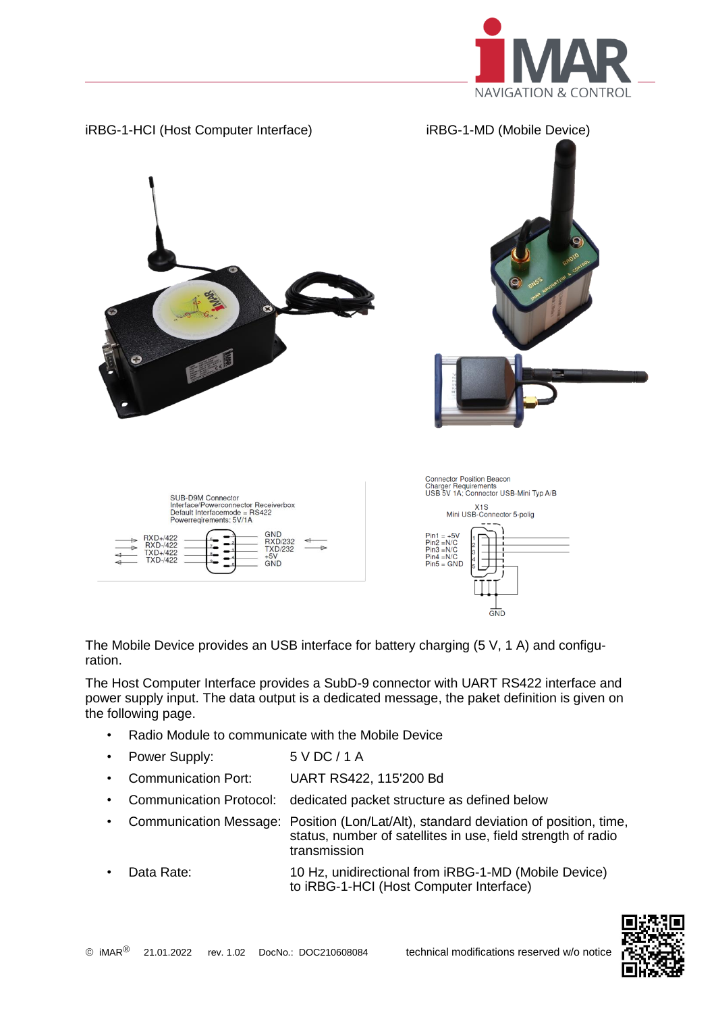

L



The Mobile Device provides an USB interface for battery charging (5 V, 1 A) and configuration.

The Host Computer Interface provides a SubD-9 connector with UART RS422 interface and power supply input. The data output is a dedicated message, the paket definition is given on the following page.

- Radio Module to communicate with the Mobile Device
- Power Supply: 5 V DC / 1 A
- Communication Port: UART RS422, 115'200 Bd
- Communication Protocol: dedicated packet structure as defined below
- Communication Message: Position (Lon/Lat/Alt), standard deviation of position, time, status, number of satellites in use, field strength of radio transmission
- Data Rate: 10 Hz, unidirectional from iRBG-1-MD (Mobile Device) to iRBG-1-HCI (Host Computer Interface)